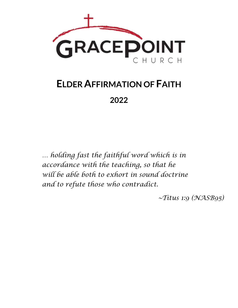

# **ELDER AFFIRMATION OF FAITH 2022**

*… holding fast the faithful word which is in accordance with the teaching, so that he will be able both to exhort in sound doctrine and to refute those who contradict.*

*~Titus 1:9 (NASB95)*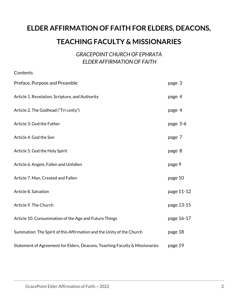# **ELDER AFFIRMATION OF FAITH FOR ELDERS, DEACONS,**

# **TEACHING FACULTY & MISSIONARIES**

*GRACEPOINT CHURCH OF EPHRATA ELDER AFFIRMATION OF FAITH*

| Contents                                                                    |            |
|-----------------------------------------------------------------------------|------------|
| Preface, Purpose and Preamble                                               | page 3     |
| Article 1. Revelation, Scripture, and Authority                             | page 4     |
| Article 2. The Godhead ("Tri-unity")                                        | page 4     |
| Article 3. God the Father                                                   | page 5-6   |
| Article 4. God the Son                                                      | page 7     |
| Article 5. God the Holy Spirit                                              | page 8     |
| Article 6. Angels, Fallen and Unfallen                                      | page 9     |
| Article 7. Man, Created and Fallen                                          | page 10    |
| Article 8. Salvation                                                        | page 11-12 |
| Article 9. The Church                                                       | page 13-15 |
| Article 10. Consummation of the Age and Future Things                       | page 16-17 |
| Summation: The Spirit of this Affirmation and the Unity of the Church       | page 18    |
| Statement of Agreement for Elders, Deacons, Teaching Faculty & Missionaries | page 19    |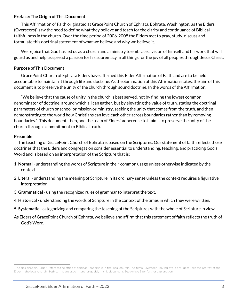#### **Preface: The Origin of This Document**

This Affirmation of Faith originated at GracePoint Church of Ephrata, Ephrata, Washington, as the Elders (Overseers) $1$  saw the need to define what they believe and teach for the clarity and continuance of Biblical faithfulness in the church. Over the time period of 2006-2008 the Elders met to pray, study, discuss and formulate this doctrinal statement of what we believe and why we believe it.

We rejoice that God has led us as a church and a ministry to embrace a vision of himself and his work that will guard us and help us spread a passion for his supremacy in all things for the joy of all peoples through Jesus Christ.

#### **Purpose of This Document**

GracePoint Church of Ephrata Elders have affirmed this Elder Affirmation of Faith and are to be held accountable to maintain it through life and doctrine. As the Summation of this Affirmation states, the aim of this document is to preserve the unity of the church through sound doctrine. In the words of the Affirmation,

"We believe that the cause of unity in the church is best served, not by finding the lowest common denominator of doctrine, around which all can gather, but by elevating the value of truth, stating the doctrinal parameters of church or school or mission or ministry, seeking the unity that comes from the truth, and then demonstrating to the world how Christians can love each other across boundaries rather than by removing boundaries." This document, then, and the team of Elders' adherence to it aims to preserve the unity of the church through a commitment to Biblical truth.

#### **Preamble**

 The teaching of GracePoint Church of Ephrata is based on the Scriptures. Our statement of faith reflects those doctrines that the Elders and congregation consider essential to understanding, teaching, and practicing God's Word and is based on an interpretation of the Scripture that is:

- 1. **Normal** understanding the words of Scripture in their common usage unless otherwise indicated by the context.
- 2. **Literal** understanding the meaning of Scripture in its ordinary sense unless the context requires a figurative interpretation.
- 3. **Grammatical** using the recognized rules of grammar to interpret the text.
- 4. **Historical** understanding the words of Scripture in the context of the times in which they were written.
- 5. **Systematic** categorizing and comparing the teaching of the Scriptures with the whole of Scripture in view.
- As Elders of GracePoint Church of Ephrata, we believe and affirm that this statement of faith reflects the truth of God's Word.

<sup>&</sup>lt;sup>1</sup> The designation, "Elder" refers to the office of spiritual leadership in the local church. The term "Overseer" (giving oversight) describes the activity of the Elder in the local church. Both terms are used interchangeably in this document. See Article 9 for further explanation.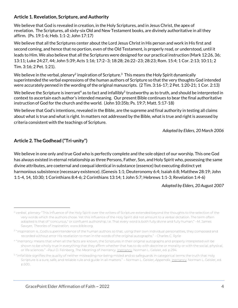# **Article 1. Revelation, Scripture, and Authority**

We believe that God is revealed in creation, in the Holy Scriptures, and in Jesus Christ, the apex of revelation. The Scriptures, all sixty-six Old and New Testament books, are divinely authoritative in all they affirm. (Ps. 19:1-6; Heb. 1:1-2; John 17:17)

We believe that all the Scriptures center about the Lord Jesus Christ in His person and work in His first and second coming, and hence that no portion, even of the Old Testament, is properly read, or understood, until it leads to Him. We also believe that all the Scriptures were designed for our practical instruction (Mark 12:26, 36; 13:11; Luke 24:27, 44; John 5:39; Acts 1:16; 17:2–3; 18:28; 26:22–23; 28:23; Rom. 15:4; 1 Cor. 2:13; 10:11; 2 Tim. 3:16; 2 Pet. 1:21).

We believe in the verbal, plenary $^2$  inspiration of Scripture. $^3$  This means the Holy Spirit dynamically superintended the verbal expressions of the human authors of Scripture so that the very thoughts God intended were accurately penned in the wording of the original manuscripts. (2 Tim. 3:16-17; 2 Pet. 1:20-21; 1 Cor. 2:13)

We believe the Scripture is inerrant<sup>4</sup> as to fact and infallibly<sup>5</sup> trustworthy as to truth, and should be interpreted in context to ascertain each author's intended meaning. Our present Bible continues to bear the final authoritative instruction of God for the church and the world. (John 10:35b; Ps. 19:7; Matt. 5:17-18)

We believe that God's intentions, revealed in the Bible, are the supreme and final authority in testing all claims about what is true and what is right. In matters not addressed by the Bible, what is true and right is assessed by criteria consistent with the teachings of Scripture.

*Adopted by Elders, 20 March 2006*

# **Article 2. The Godhead ("Tri-unity")**

We believe in one only and true God who is perfectly complete and the sole object of our worship. This one God has always existed in eternal relationship as three Persons, Father, Son, and Holy Spirit who, possessing the same divine attributes, are coeternal and coequal identical in substance (essence) but executing distinct yet harmonious subsistence (necessary existence). (Genesis 1:1; Deuteronomy 6:4; Isaiah 6:8; Matthew 28:19; John 1:1-4, 14, 10:30; 1 Corinthians 8:4-6; 2 Corinthians 13:14; 1 John 5:7; Hebrews 1:1-3; Revelation 1:4-6)

<sup>2</sup> *verbal, plenary* "This influence of the Holy Spirit over the writers of Scripture extended beyond the thoughts to the selection of the very words which the authors chose. Yet this influence of the Holy Spirit did not amount to a verbal dictation. The term often adopted is that of "concursus," or confluent authorship, i.e. That every word is both fully divine and fully human." –M. James Sawyer, *Theories of Inspiration*, www.bible.org.

<sup>3</sup> "*Inspiration* is...God's superintendence of the human authors so that, using their own individual personalities, they composed and recorded without error His revelation to man in the words of the original autographs." - Charles C. Ryrie

<sup>4</sup> "*Inerrancy* means that when all the facts are known, the Scriptures in their original autographs and properly interpreted will be shown to be wholly true in everything that they affirm whether that has to do with doctrine or morality or with the social, physical, or life sciences." –Paul D. Feinberg, *The Meaning of Inerrancy*, Inerrancy, Norman L. Geisler, ed. p.294.

<sup>5</sup> "*Infallible* signifies the quality of neither misleading nor being misled and so safeguards in categorical terms the truth that Holy Scripture is a sure, safe, and reliable rule and guide in all matters." – Norman L. Geisler, *Appendix,* Inerrancy, Norman L. Geisler, ed. p.500.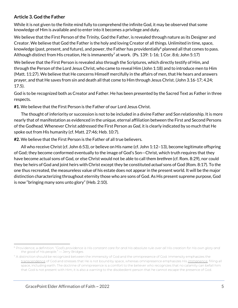# **Article 3. God the Father**

While it is not given to the finite mind fully to comprehend the infinite God, it may be observed that some knowledge of Him is available and to enter into it becomes a privilege and duty.

We believe that the First Person of the Trinity, God the Father, is revealed through nature as its Designer and Creator. We believe that God the Father is the holy and loving Creator of all things. Unlimited in time, space, knowledge (past, present, and future), and power, the Father has providentially<sup>6</sup> planned all that comes to pass. Although distinct from His creation, He is immanently<sup>7</sup> at work. (Ps. 139: 1-16; 1 Cor. 8:6; John 5:17)

We believe that the First Person is revealed also through the Scriptures, which directly testify of Him, and through the Person of the Lord Jesus Christ, who came to reveal Him (John 1:18) and to introduce men to Him (Matt. 11:27). We believe that He concerns Himself mercifully in the affairs of men, that He hears and answers prayer, and that He saves from sin and death all that come to Him through Jesus Christ. (John 3.16-17; 4.24; 17.5).

God is to be recognized both as Creator and Father. He has been presented by the Sacred Text as Father in three respects.

**#1.** We believe that the First Person is the Father of our Lord Jesus Christ.

The thought of inferiority or succession is not to be included in a divine Father and Son relationship. It is more nearly that of manifestation as evidenced in the unique, eternal affiliation between the First and Second Persons of the Godhead. Whenever Christ addressed the First Person as *God*, it is clearly indicated by so much that He spoke out from His humanity (cf. Matt. 27:46; Heb. 10:7).

**#2.** We believe that the First Person is the Father of all true believers.

All who receive Christ (cf. John 6:53), or believe on His name (cf. John 1:12–13), become legitimate offspring of God; they become conformed eventually to the image of God's Son—Christ, which truth requires that they have become actual sons of God, or else Christ would not be able to call them *brethren* (cf. Rom. 8:29), nor could they be heirs of God and joint heirs with Christ except they be constituted *actual* sons of God (Rom. 8:17). To the one thus recreated, the measureless value of his estate does not appear in the present world. It will be the major distinction characterizing throughout eternity those who are sons of God. As His present supreme purpose, God is now "bringing many sons unto glory" (Heb. 2:10).

<sup>6</sup> **Providence**; a definition: *"God's providence is His constant care for and His absolute rule over all His creation for His own glory and the good of His people."* — Jerry Bridges

 $^7$  A distinction should be recognized between the immensity of God and the omnipresence of God. Immensity emphasizes the **transcendence** of God and stresses that He is not bound by space, whereas omnipresence emphasizes His *immanence*, filling all space, including earth. The doctrine of omnipresence is a comfort to the believer who recognizes that no calamity can befall him that God is not present with Him; it is also a warning to the disobedient person that he cannot escape the presence of God.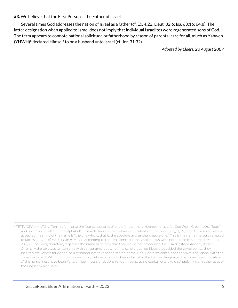**#3.** We believe that the First Person is the Father of Israel.

Several times God addresses the nation of Israel as a father (cf. Ex. 4:22; Deut. 32:6; Isa. 63:16; 64:8). The latter designation when applied to Israel does not imply that individual Israelites were regenerated sons of God. The term appears to connote national solicitude or fatherhood by reason of parental care for all, much as Yahweh  $(YHWH)^8$  declared Himself to be a husband unto Israel (cf. Jer. 31:32).

<sup>8</sup> **TETRAGRAMMATON\*** Term referring to the four consonants of one of the primary Hebrew names, for God (from Greek *tetra,* "four," and *gramma,* "a letter of the alphabet"). These letters are the Hebrew equivalents of English Y (or J), H, W, and H. The most widely accepted meaning of the name is "the one who is, that is, the absolute and unchangeable one." This is the name the Lord revealed to Moses (Ex 3:15; cf. vv 13-14; Jn 8:56-58). According to the Ten Commandments, the Jews were not to take this name in vain (Ex 20:2, 7). The Jews, therefore, regarded the name as so holy that they would not pronounce it but said instead *Adonai,* "Lord." Originally the text was written only with consonants, but when the scholars called Masoretes added the vowel points, they inserted the vowels for Adonai as a reminder not to read the sacred name. Non-Hebraists combined the vowels of Adonai with the consonants of JHWH, producing a new form, "Jehovah," which does not exist in the Hebrew language. The correct pronunciation of the name must have been Yahweh, but most translations render it LORD, using capital letters to distinguish it from other uses of the English word "Lord."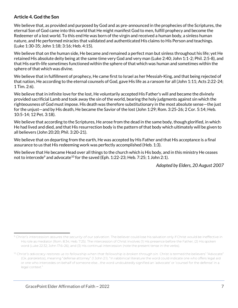# **Article 4. God the Son**

We believe that, as provided and purposed by God and as pre-announced in the prophecies of the Scriptures, the eternal Son of God came into this world that He might manifest God to men, fulfill prophecy and become the Redeemer of a lost world. To this end He was born of the virgin and received a human body, a sinless human nature, and He performed miracles that validated and authenticated His claims to His Person and teachings. (Luke 1:30-35; John 1:18; 3:16; Heb. 4:15).

We believe that on the human side, He became and remained a perfect man but sinless throughout his life; yet He retained His absolute deity being at the same time very God and very man (Luke 2:40; John 1:1-2; Phil. 2:5-8), and that His earth-life sometimes functioned within the sphere of that which was human and sometimes within the sphere of that which was divine.

We believe that in fulfillment of prophecy, He came first to Israel as her Messiah-King, and that being rejected of that nation, He according to the eternal counsels of God, gave His life as a ransom for all (John 1:11; Acts 2:22-24; 1 Tim. 2:6).

We believe that in infinite love for the lost, He voluntarily accepted His Father's will and became the divinely provided sacrificial Lamb and took away the sin of the world, bearing the holy judgments against sin which the righteousness of God must impose. His death was therefore substitutionary in the most absolute sense—the just for the unjust—and by His death, He became the Savior of the lost (John 1:29; Rom. 3:25-26; 2 Cor. 5:14; Heb. 10:5-14; 12 Pet. 3:18).

We believe that according to the Scriptures, He arose from the dead in the same body, though glorified, in which He had lived and died, and that His resurrection body is the pattern of that body which ultimately will be given to all believers (John 20:20; Phil. 3:20-21).

We believe that on departing from the earth, He was accepted by His Father and that His acceptance is a final assurance to us that His redeeming work was perfectly accomplished (Heb. 1:3).

We believe that He became Head over all things to the church which is His body, and in this ministry He ceases not to intercede<sup>9</sup> and advocate<sup>10</sup> for the saved (Eph. 1:22-23; Heb. 7:25; 1 John 2:1).

<sup>9</sup> *Christ's intercession assures the security of our salvation.* The believer could lose his salvation only if Christ would be ineffective in His role as mediator (Rom. 8:34; Heb. 7:25). The intercession of Christ involves (1) His presence before the Father; (2) His spoken word (Luke 22:32; John 17:6–26); and (3) His continual intercession (note the present tense in the verbs).

<sup>&</sup>lt;sup>10</sup> Christ's advocacy restores us to fellowship when that fellowship is broken through sin. Christ is termed the believers' "Advocate" (Gk. *parakletos*), meaning "defense attorney" (1 John 2:1). "In rabbinical literature the word could indicate one who offers legal aid or one who intercedes on behalf of someone else.…the word undoubtedly signified an 'advocate' or 'counsel for the defense' in a legal context."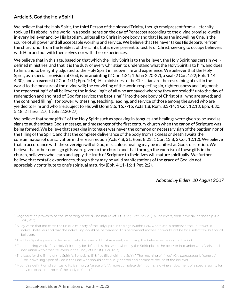# **Article 5. God the Holy Spirit**

We believe that the Holy Spirit, the third Person of the blessed Trinity, though omnipresent from all eternity, took up His abode in the world in a special sense on the day of Pentecost according to the divine promise, dwells in every believer and, by His baptism, unites all to Christ in one body and that He, as the indwelling One, is the source of all power and all acceptable worship and service. We believe that He never takes His departure from the church, nor from the feeblest of the saints, but is ever present to testify of Christ; seeking to occupy believers with Him and not with themselves nor with their experiences.

We believe that in this age, based on that which the Holy Spirit is to the believer, the Holy Spirit has certain welldefined ministries, and that it is the duty of every Christian to understand what the Holy Spirit is to him, and does to him, and to be rightly adjusted to the Holy Spirit in his own life and experience. We believer that the Holy Spirit, as a special provision of God, is an **anointing** (2 Cor. 1:21; 1 John 2:20-27), a **seal** (2 Cor. 1:22; Eph. 1:14; 4:30), and an **earnest**(2 Cor. 1:11; Eph. 1:14). His ministries to the Christian are the restraining of evil in the world to the measure of the divine will; the convicting of the world respecting sin, righteousness and judgment; the regenerating<sup>11</sup> of all believers; the indwelling<sup>12</sup> of all who are saved whereby they are sealed**<sup>13</sup>** unto the day of redemption and anointed of God for service; the baptizing<sup>14</sup> into the one body of Christ of all who are saved; and the continued filling<sup>15</sup> for power, witnessing, teaching, leading, and service of those among the saved who are yielded to Him and who are subject to His will (John 3:6; 16:7-15; Acts 1:8; Rom. 8:3-14; 1 Cor. 12:13; Eph. 4:30; 5:18; 2 Thess. 2:7; 1 John 2:20-27).

We believe that some gifts<sup>16</sup> of the Holy Spirit such as speaking in tongues and healings were given to be used as signs to authenticate God's message, and messenger of the first century church when the canon of Scripture was being formed. We believe that speaking in tongues was never the common or necessary sign of the baptism nor of the filling of the Spirit, and that the complete deliverance of the body from sickness or death awaits the consummation of our salvation in the resurrection (Acts 4:8, 31; Rom. 8:23; 1 Cor. 13:8; 2 Cor. 12:12). We believe that in accordance with the sovereign will of God, miraculous healing may be manifest at God's discretion. We believe that other non-sign gifts were given to the church and that through the exercise of these gifts in the church, believers who learn and apply the truth of Scripture to their lives will mature spiritually. We further believe that ecstatic experiences, though they may be valid manifestations of the grace of God, do not appreciably contribute to one's spiritual maturity (Eph. 4:11-16; 1 Pet. 2:2).

- $^{13}$  The Holy Spirit is given to the person who believes in Christ as a seal, identifying the believer as belonging to God.
- <sup>14</sup> The baptizing work of the Holy Spirit may be defined as that work whereby the Spirit places the believer into union with Christ and into union with other believers in the Body of Christ (1 Cor. 12:13).
- <sup>15</sup> The basis for the filling of the Spirit is Ephesians 5:18, "be filled with the Spirit." The meaning of "filled" (Gk. *plerousthe*) is "control." "The indwelling Spirit of God is the One who should continually control and dominate the life of the believer."
- $16$  A concise definition of spiritual gifts is simply a "grace gift." A more complete definition is "a divine endowment of a special ability for service upon a member of the body of Christ."

<sup>&</sup>lt;sup>11</sup> Regeneration proves to be the imparting of the divine nature (cf. Titus 3:5; 1 Pet. 1:23; 2:2). All believers, then, have divine sonship (Gal. 3:26, R.V.).

 $^{12}$  A key verse that indicates the unique ministry of the Holy Spirit in this age is John 14:16 where Jesus promised the Spirit would indwell believers and that the indwelling would be permanent. This permanent indwelling would not be for a select few but for all believers.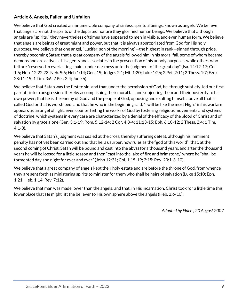# **Article 6. Angels, Fallen and Unfallen**

We believe that God created an innumerable company of sinless, spiritual beings, known as angels. We believe that angels are not the spirits of the departed nor are they glorified human beings. We believe that although angels are "spirits," they nevertheless ofttimes have appeared to men in visible, and even human form. We believe that angels are beings of great might and power, but that it is always appropriated from God for His holy purposes. We believe that one angel, "Lucifer, son of the morning"—the highest in rank—sinned through pride, thereby becoming Satan; that a great company of the angels followed him in his moral fall, some of whom became demons and are active as his agents and associates in the prosecution of his unholy purposes, while others who fell are "reserved in everlasting chains under darkness unto the judgment of the great day" (Isa. 14:12-17; Col. 1:6; Heb. 12:22,23; Neh. 9:6; Heb 1:14; Gen. 19; Judges 2:1; Mt. 1:20; Luke 1:26; 2 Pet. 2:11; 2 Thess. 1:7; Ezek. 28:11-19; 1 Tim. 3:6; 2 Pet. 2:4; Jude 6).

We believe that Satan was the first to sin, and that, under the permission of God, he, through subtlety, led our first parents into transgression, thereby accomplishing their moral fall and subjecting them and their posterity to his own power; that he is the enemy of God and the people of God, opposing and exalting himself above all that is called God or that is worshiped; and that he who in the beginning said, "I will be like the most High," in his warfare appears as an angel of light, even counterfeiting the works of God by fostering religious movements and systems of doctrine, which systems in every case are characterized by a denial of the efficacy of the blood of Christ and of salvation by grace alone (Gen. 3:1-19; Rom. 5:12-14; 2 Cor. 4:3-4; 11:13-15; Eph. 6:10-12; 2 Thess. 2:4; 1 Tim. 4:1-3).

We believe that Satan's judgment was sealed at the cross, thereby suffering defeat, although his imminent penalty has not yet been carried out and that he, a usurper, now rules as the "god of this world"; that, at the second coming of Christ, Satan will be bound and cast into the abyss for a thousand years, and after the thousand years he will be loosed for a little season and then "cast into the lake of fire and brimstone," where he "shall be tormented day and night for ever and ever" (John 12:31; Col. 1:15-19; 2:15; Rev. 20:1-3, 10).

We believe that a great company of angels kept their holy estate and are before the throne of God, from whence they are sent forth as ministering spirits to minister for them who shall be heirs of salvation (Luke 15:10; Eph. 1:21; Heb. 1:14; Rev. 7:12).

We believe that man was made lower than the angels; and that, in His incarnation, Christ took for a little time this lower place that He might lift the believer to His own sphere above the angels (Heb. 2:6-10).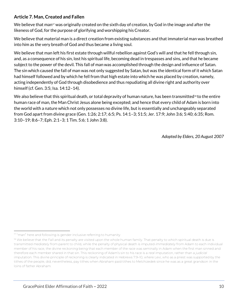# **Article 7. Man, Created and Fallen**

We believe that man<sup>17</sup> was originally created on the sixth day of creation, by God in the image and after the likeness of God, for the purpose of glorifying and worshipping his Creator.

We believe that material man is a direct creation from existing substances and that immaterial man was breathed into him as the very breath of God and thus became a living soul.

We believe that man left his first estate through willful rebellion against God's will and that he fell through sin, and, as a consequence of his sin, lost his spiritual life, becoming dead in trespasses and sins, and that he became subject to the power of the devil. This fall of man was accomplished through the design and influence of Satan. The sin which caused the fall of man was not only suggested by Satan, but was the identical form of it which Satan had himself followed and by which he fell from that high estate into which he was placed by creation, namely, acting independently of God through disobedience and thus repudiating all divine right and authority over himself (cf. Gen. 3:5; Isa. 14:12–14).

We also believe that this spiritual death, or total depravity of human nature, has been transmitted $18$  to the entire human race of man, the Man Christ Jesus alone being excepted; and hence that every child of Adam is born into the world with a nature which not only possesses no divine life, but is essentially and unchangeably separated from God apart from divine grace (Gen. 1:26; 2:17; 6:5; Ps. 14:1–3; 51:5; Jer. 17:9; John 3:6; 5:40; 6:35; Rom. 3:10–19; 8:6–7; Eph. 2:1–3; 1 Tim. 5:6; 1 John 3:8).

<sup>&</sup>lt;sup>17</sup> "man" here and following is gender inclusive referring to humanity

<sup>&</sup>lt;sup>18</sup> We believe that the Fall and its penalty are visited upon the whole human family. That penalty to which spiritual death is due is transmitted *mediately* from parent to child, while the penalty of physical death is imputed *immediately* from Adam to each individual member of his race, the divine reckoning being that each member of the race was seminally in Adam when the first man sinned and therefore each member shared in that sin. This reckoning of Adam's sin to his race is a *real* imputation, rather than a *judicial* imputation. This divine principle of reckoning is clearly indicated in Hebrews 7:9–10, where Levi, who as a priest was supported by the tithes of the people, did, nevertheless, pay tithes when Abraham paid tithes to Melchizedek since he was as a great grandson in the loins of father Abraham.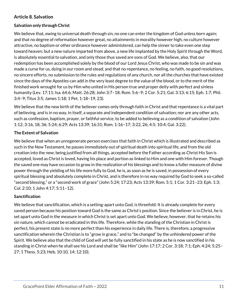# **Article 8. Salvation**

# **Salvation only through Christ**

We believe that, owing to universal death through sin, no one can enter the kingdom of God unless born again; and that no degree of reformation however great, no attainments in morality however high, no culture however attractive, no baptism or other ordinance however administered, can help the sinner to take even one step toward heaven; but a new nature imparted from above, a new life implanted by the Holy Spirit through the Word, is absolutely essential to salvation, and only those thus saved are sons of God. We believe, also, that our redemption has been accomplished solely by the blood of our Lord Jesus Christ, who was made to be sin and was made a curse for us, dying in our room and stead; and that no repentance, no feeling, no faith, no good resolutions, no sincere efforts, no submission to the rules and regulations of any church, nor all the churches that have existed since the days of the Apostles can add in the very least degree to the value of the blood, or to the merit of the finished work wrought for us by Him who united in His person true and proper deity with perfect and sinless humanity (Lev. 17:11; Isa. 64:6; Matt. 26:28; John 3:7–18; Rom. 5:6–9; 2 Cor. 5:21; Gal. 3:13; 6:15; Eph. 1:7; Phil. 3:4–9; Titus 3:5; James 1:18; 1 Pet. 1:18–19, 23).

We believe that the new birth of the believer comes only through faith in Christ and that repentance is a vital part of believing, and is in no way, in itself, a separate and independent condition of salvation; nor are any other acts, such as confession, baptism, prayer, or faithful service, to be added to believing as a condition of salvation (John 1:12; 3:16, 18, 36; 5:24; 6:29; Acts 13:39; 16:31; Rom. 1:16–17; 3:22, 26; 4:5; 10:4; Gal. 3:22).

# **The Extent of Salvation**

We believe that when an unregenerate person exercises that faith in Christ which is illustrated and described as such in the New Testament, he passes immediately out of spiritual death into spiritual life, and from the old creation into the new; being justified from all things, accepted before the Father according as Christ His Son is accepted, loved as Christ is loved, having his place and portion as linked to Him and one with Him forever. Though the saved one may have occasion to grow in the realization of his blessings and to know a fuller measure of divine power through the yielding of his life more fully to God, he is, as soon as he is saved, in possession of every spiritual blessing and absolutely complete in Christ, and is therefore in no way required by God to seek a so-called "second blessing," or a "second work of grace" (John 5:24; 17:23; Acts 13:39; Rom. 5:1; 1 Cor. 3:21–23; Eph. 1:3; Col. 2:10; 1 John 4:17; 5:11–12).

# **Sanctification**

We believe that sanctification, which is a setting-apart unto God, is threefold: It is already complete for every saved person because his position toward God is the same as Christ's position. Since the believer is in Christ, he is set apart unto God in the measure in which Christ is set apart unto God. We believe, however, that he retains his sin nature, which cannot be eradicated in this life. Therefore, while the standing of the Christian in Christ is perfect, his present state is no more perfect than his experience in daily life. There is, therefore, a progressive sanctification wherein the Christian is to "grow in grace," and to "be changed" by the unhindered power of the Spirit. We believe also that the child of God will yet be fully sanctified in his state as he is now sanctified in his standing in Christ when he shall see his Lord and shall be "like Him" (John 17:17; 2 Cor. 3:18; 7:1; Eph. 4:24; 5:25– 27; 1 Thess. 5:23; Heb. 10:10, 14; 12:10).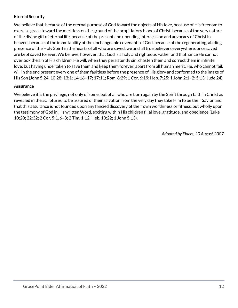# **Eternal Security**

We believe that, because of the eternal purpose of God toward the objects of His love, because of His freedom to exercise grace toward the meritless on the ground of the propitiatory blood of Christ, because of the very nature of the divine gift of eternal life, because of the present and unending intercession and advocacy of Christ in heaven, because of the immutability of the unchangeable covenants of God, because of the regenerating, abiding presence of the Holy Spirit in the hearts of all who are saved, we and all true believers everywhere, once saved are kept saved forever. We believe, however, that God is a holy and righteous Father and that, since He cannot overlook the sin of His children, He will, when they persistently sin, chasten them and correct them in infinite love; but having undertaken to save them and keep them forever, apart from all human merit, He, who cannot fail, will in the end present every one of them faultless before the presence of His glory and conformed to the image of His Son (John 5:24; 10:28; 13:1; 14:16–17; 17:11; Rom. 8:29; 1 Cor. 6:19; Heb. 7:25; 1 John 2:1–2; 5:13; Jude 24).

# **Assurance**

We believe it is the privilege, not only of some, but of all who are born again by the Spirit through faith in Christ as revealed in the Scriptures, to be assured of their salvation from the very day they take Him to be their Savior and that this assurance is not founded upon any fancied discovery of their own worthiness or fitness, but wholly upon the testimony of God in His written Word, exciting within His children filial love, gratitude, and obedience (Luke 10:20; 22:32; 2 Cor. 5:1, 6–8; 2 Tim. 1:12; Heb. 10:22; 1 John 5:13).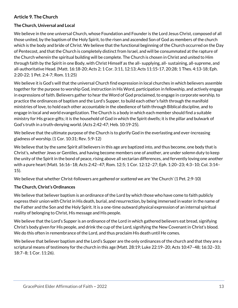# **Article 9. The Church**

# **The Church, Universal and Local**

We believe in the one universal Church, whose Foundation and Founder is the Lord Jesus Christ, composed of all those united, by the baptism of the Holy Spirit, to the risen and ascended Son of God as members of the church which is the body and bride of Christ. We believe that the functional beginning of the Church occurred on the Day of Pentecost, and that the Church is completely distinct from Israel, and will be consummated at the rapture of the Church wherein the spiritual building will be complete. The Church is chosen in Christ and united to Him through faith by the Spirit in one Body, with Christ Himself as the all- supplying, all- sustaining, all-supreme, and all-authoritative Head. (Matt. 16:18-20; Acts 2; 1 Cor. 3:11, 12:13; Acts 11:15-17, 20:28; 1 Thes. 4:13-18; Eph. 2:20-22; 1 Pet. 2:4-7; Rom. 11:25)

We believe it is God's will that the universal Church find expression in local churches in which believers assemble together for the purpose to worship God, instruction in His Word, participation in fellowship, and actively engage in expressions of faith. Believers gather to hear the Word of God proclaimed, to engage in corporate worship, to practice the ordinances of baptism and the Lord's Supper, to build each other's faith through the manifold ministries of love, to hold each other accountable in the obedience of faith through Biblical discipline, and to engage in local and world evangelization. The Church is a body in which each member should find a suitable ministry for His grace-gifts; it is the household of God in which the Spirit dwells; it is the pillar and bulwark of God's truth in a truth-denying world. (Acts 2:42-47; Heb. 10:19-25).

We believe that the ultimate purpose of the Church is to glorify God in the everlasting and ever-increasing gladness of worship. (1 Cor. 10:31; Rev. 5:9-12)

We believe that by the same Spirit all believers in this age are baptized into, and thus become, one body that is Christ's, whether Jews or Gentiles, and having become members one of another, are under solemn duty to keep the unity of the Spirit in the bond of peace, rising above all sectarian differences, and fervently loving one another with a pure heart (Matt. 16:16–18; Acts 2:42–47; Rom. 12:5; 1 Cor. 12:12–27; Eph. 1:20–23; 4:3–10; Col. 3:14– 15).

We believe that whether Christ-followers are *gathered* or *scattered* we are 'the Church' (1 Pet. 2:9-10)

# **The Church, Christ's Ordinances**

We believe that believer baptism is an ordinance of the Lord by which those who have come to faith publicly express their union with Christ in His death, burial, and resurrection, by being immersed in water in the name of the Father and the Son and the Holy Spirit. It is a one-time outward physical expression of an internal spiritual reality of belonging to Christ, His message and His people.

We believe that the Lord's Supper is an ordinance of the Lord in which gathered believers eat bread, signifying Christ's body given for His people, and drink the cup of the Lord, signifying the New Covenant in Christ's blood. We do this often in remembrance of the Lord, and thus proclaim His death until He comes.

We believe that believer baptism and the Lord's Supper are the only ordinances of the church and that they are a scriptural means of testimony for the church in this age (Matt. 28:19; Luke 22:19–20; Acts 10:47–48; 16:32–33; 18:7–8; 1 Cor. 11:26).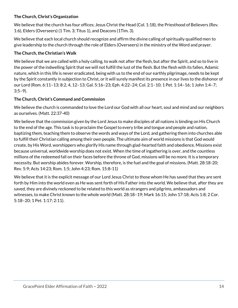# **The Church, Christ's Organization**

We believe that the church has four offices; Jesus Christ the Head (Col. 1:18), the Priesthood of Believers (Rev. 1:6), Elders (Overseers) (1 Tim. 3; Titus 1), and Deacons (1Tim. 3).

We believe that each local church should recognize and affirm the divine calling of spiritually qualified men to give leadership to the church through the role of Elders (Overseers) in the ministry of the Word and prayer.

#### **The Church, the Christian's Walk**

We believe that we are called with a holy calling, to walk not after the flesh, but after the Spirit, and so to live in the power of the indwelling Spirit that we will not fulfill the lust of the flesh. But the flesh with its fallen, Adamic nature, which in this life is never eradicated, being with us to the end of our earthly pilgrimage, needs to be kept by the Spirit constantly in subjection to Christ, or it will surely manifest its presence in our lives to the dishonor of our Lord (Rom. 6:11–13; 8:2, 4, 12–13; Gal. 5:16–23; Eph. 4:22–24; Col. 2:1–10; 1 Pet. 1:14–16; 1 John 1:4–7;  $3:5-9$ ).

# **The Church, Christ's Command and Commission**

We believe the church is commanded to love the Lord our God with all our heart, soul and mind and our neighbors as ourselves. (Matt. 22:37-40)

We believe that the commission given by the Lord Jesus to make disciples of all nations is binding on His Church to the end of the age. This task is to proclaim the Gospel to every tribe and tongue and people and nation, baptizing them, teaching them to observe the words and ways of the Lord, and gathering them into churches able to fulfill their Christian calling among their own people. The ultimate aim of world missions is that God would create, by His Word, worshippers who glorify His name through glad-hearted faith and obedience. Missions exist because universal, worldwide worship does not exist. When the time of ingathering is over, and the countless millions of the redeemed fall on their faces before the throne of God, missions will be no more. It is a temporary necessity. But worship abides forever. Worship, therefore, is the fuel and the goal of missions. (Matt. 28:18-20; Rev. 5:9; Acts 14:23; Rom. 1:5; John 4:23; Rom. 15:8-11)

We believe that it is the explicit message of our Lord Jesus Christ to those whom He has saved that they are sent forth by Him into the world even as He was sent forth of His Father into the world. We believe that, after they are saved, they are divinely reckoned to be related to this world as strangers and pilgrims, ambassadors and witnesses, to make Christ known to the whole world (Matt. 28:18–19; Mark 16:15; John 17:18; Acts 1:8; 2 Cor. 5:18–20; 1 Pet. 1:17; 2:11).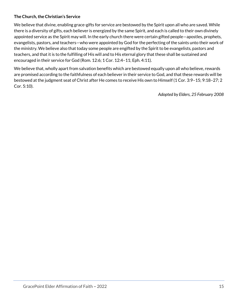#### **The Church, the Christian's Service**

We believe that divine, enabling grace-gifts for service are bestowed by the Spirit upon all who are saved. While there is a diversity of gifts, each believer is energized by the same Spirit, and each is called to their own divinely appointed service as the Spirit may will. In the early church there were certain gifted people—apostles, prophets, evangelists, pastors, and teachers—who were appointed by God for the perfecting of the saints unto their work of the ministry. We believe also that today some people are engifted by the Spirit to be evangelists, pastors and teachers, and that it is to the fulfilling of His will and to His eternal glory that these shall be sustained and encouraged in their service for God (Rom. 12:6; 1 Cor. 12:4–11; Eph. 4:11).

We believe that, wholly apart from salvation benefits which are bestowed equally upon all who believe, rewards are promised according to the faithfulness of each believer in their service to God, and that these rewards will be bestowed at the judgment seat of Christ after He comes to receive His own to Himself (1 Cor. 3:9–15; 9:18–27; 2 Cor. 5:10).

*Adopted by Elders, 25 February 2008*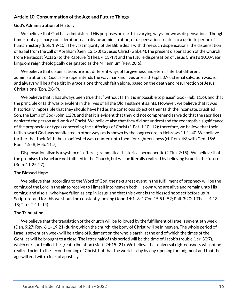# **Article 10. Consummation of the Age and Future Things**

# **God's Administration of History**

We believe that God has administered His purposes on earth in varying ways known as dispensations. Though time is not a primary consideration, each divine administration, or dispensation, relates to a definite period of human history (Eph. 1:9-10). The vast majority of the Bible deals with three such dispensations: the dispensation of Israel from the call of Abraham (Gen. 12:1-3) to Jesus Christ (Gal.4:4), the present dispensation of the Church from Pentecost (Acts 2) to the Rapture (1Thes. 4:13-17) and the future dispensation of Jesus Christ's 1000-year kingdom reign theologically designated as the Millennium (Rev. 20:6).

We believe that dispensations are not different ways of forgiveness and eternal life, but different administrations of God as He superintends the way mankind lives on earth (Eph. 3:9). Eternal salvation was, is, and always will be a free gift by grace alone through faith alone, based on the death and resurrection of Jesus Christ alone (Eph. 2:8-9).

We believe that it has always been true that "without faith it is impossible to please" God (Heb. 11:6), and that the principle of faith was prevalent in the lives of all the Old Testament saints. However, we believe that it was historically impossible that they should have had as the conscious object of their faith the incarnate, crucified Son, the Lamb of God (John 1:29), and that it is evident that they did not comprehend as we do that the sacrifices depicted the person and work of Christ. We believe also that they did not understand the redemptive significance of the prophecies or types concerning the sufferings of Christ (1 Pet. 1:10–12); therefore, we believe that their faith toward God was manifested in other ways as is shown by the long record in Hebrews 11:1–40. We believe further that their faith thus manifested was counted unto them for righteousness (cf. Rom. 4:3 with Gen. 15:6; Rom. 4:5–8; Heb. 11:7).

Dispensationalism is a system of a literal, grammatical, historical hermeneutic (2 Tim. 2:15). We believe that the promises to Israel are not fulfilled in the Church, but will be literally realized by believing Israel in the future (Rom. 11:25-27).

# **The Blessed Hope**

We believe that, according to the Word of God, the next great event in the fulfillment of prophecy will be the coming of the Lord in the air to receive to Himself into heaven both His own who are alive and remain unto His coming, and also all who have fallen asleep in Jesus, and that this event is the blessed hope set before us in Scripture, and for this we should be constantly looking (John 14:1–3; 1 Cor. 15:51–52; Phil. 3:20; 1 Thess. 4:13– 18; Titus 2:11–14).

# **The Tribulation**

We believe that the translation of the church will be followed by the fulfillment of Israel's seventieth week (Dan. 9:27; Rev. 6:1–19:21) during which the church, the body of Christ, will be in heaven. The whole period of Israel's seventieth week will be a time of judgment on the whole earth, at the end of which the times of the Gentiles will be brought to a close. The latter half of this period will be the time of Jacob's trouble (Jer. 30:7), which our Lord called the great tribulation (Matt. 24:15–21). We believe that universal righteousness will not be realized prior to the second coming of Christ, but that the world is day by day ripening for judgment and that the age will end with a fearful apostasy.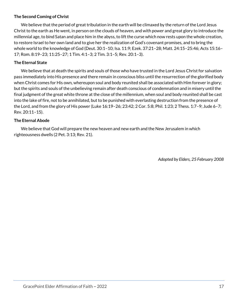#### **The Second Coming of Christ**

We believe that the period of great tribulation in the earth will be climaxed by the return of the Lord Jesus Christ to the earth as He went, in person on the clouds of heaven, and with power and great glory to introduce the millennial age, to bind Satan and place him in the abyss, to lift the curse which now rests upon the whole creation, to restore Israel to her own land and to give her the realization of God's covenant promises, and to bring the whole world to the knowledge of God (Deut. 30:1–10; Isa. 11:9; Ezek. 37:21–28; Matt. 24:15–25:46; Acts 15:16– 17; Rom. 8:19–23; 11:25–27; 1 Tim. 4:1–3; 2 Tim. 3:1–5; Rev. 20:1–3).

#### **The Eternal State**

We believe that at death the spirits and souls of those who have trusted in the Lord Jesus Christ for salvation pass immediately into His presence and there remain in conscious bliss until the resurrection of the glorified body when Christ comes for His own, whereupon soul and body reunited shall be associated with Him forever in glory; but the spirits and souls of the unbelieving remain after death conscious of condemnation and in misery until the final judgment of the great white throne at the close of the millennium, when soul and body reunited shall be cast into the lake of fire, not to be annihilated, but to be punished with everlasting destruction from the presence of the Lord, and from the glory of His power (Luke 16:19–26; 23:42; 2 Cor. 5:8; Phil. 1:23; 2 Thess. 1:7–9; Jude 6–7; Rev. 20:11–15).

#### **The Eternal Abode**

We believe that God will prepare the new heaven and new earth and the New Jerusalem in which righteousness dwells (2 Pet. 3:13; Rev. 21).

*Adopted by Elders, 25 February 2008*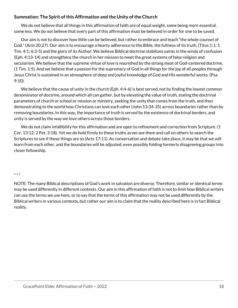# **Summation: The Spirit of this Affirmation and the Unity of the Church**

We do not believe that all things in this affirmation of faith are of equal weight, some being more essential, some less. We do not believe that every part of this affirmation must be believed in order for one to be saved.

Our aim is not to discover how little can be believed, but rather to embrace and teach "the whole counsel of God." (Acts 20:27). Our aim is to encourage a hearty adherence to the Bible, the fullness of its truth, (Titus 1:1; 1 Tim. 4:1; 6:3-5) and the glory of its Author. We believe Biblical doctrine stabilizes saints in the winds of confusion (Eph. 4:13-14) and strengthens the church in her mission to meet the great systems of false religion and secularism. We believe that the supreme virtue of love is nourished by the strong meat of God-centered doctrine. (1 Tim. 1:5). And we believe that a passion for the supremacy of God in all things for the joy of all peoples through Jesus Christ is sustained in an atmosphere of deep and joyful knowledge of God and His wonderful works. (Psa. 9:10).

We believe that the cause of unity in the church (Eph. 4:4-6) is best served, not by finding the lowest common denominator of doctrine, around which all can gather, but by elevating the value of truth, stating the doctrinal parameters of church or school or mission or ministry, seeking the unity that comes from the truth, and then demonstrating to the world how Christians can love each other (John 13:34-35) across boundaries rather than by removing boundaries. In this way, the importance of truth is served by the existence of doctrinal borders, and unity is served by the way we love others across those borders.

We do not claim infallibility for this affirmation and are open to refinement and correction from Scripture. (1 Cor. 13:12; 2 Pet. 3:18). Yet we do hold firmly to these truths as we see them and call on others to search the Scriptures to see if these things are so (Acts 17:11). As conversation and debate take place, it may be that we will learn from each other, and the boundaries will be adjusted, even possibly folding formerly disagreeing groups into closer fellowship.

#### \* \* \*

NOTE: The many Biblical descriptions of God's work in salvation are diverse. Therefore, similar or identical terms may be used differently in different contexts. Our aim in this affirmation of faith is not to limit how Biblical writers can use the terms we use here, or to say that the terms of this affirmation may not be used differently by the Biblical writers in various contexts, but rather our aim is to claim that the reality described here is in fact Biblical reality.